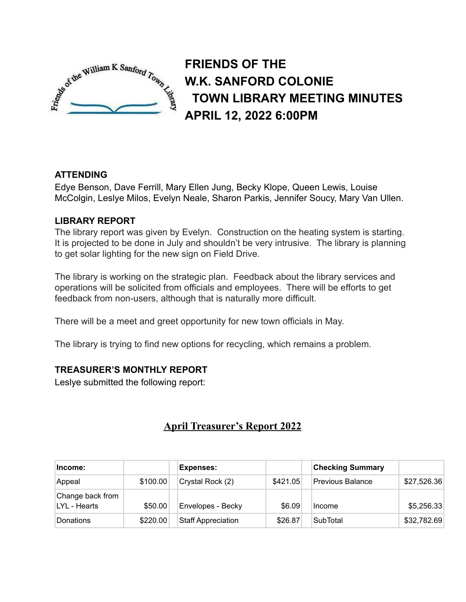

**FRIENDS OF THE W.K. SANFORD COLONIE TOWN LIBRARY MEETING MINUTES APRIL 12, 2022 6:00PM**

# **ATTENDING**

Edye Benson, Dave Ferrill, Mary Ellen Jung, Becky Klope, Queen Lewis, Louise McColgin, Leslye Milos, Evelyn Neale, Sharon Parkis, Jennifer Soucy, Mary Van Ullen.

## **LIBRARY REPORT**

The library report was given by Evelyn. Construction on the heating system is starting. It is projected to be done in July and shouldn't be very intrusive. The library is planning to get solar lighting for the new sign on Field Drive.

The library is working on the strategic plan. Feedback about the library services and operations will be solicited from officials and employees. There will be efforts to get feedback from non-users, although that is naturally more difficult.

There will be a meet and greet opportunity for new town officials in May.

The library is trying to find new options for recycling, which remains a problem.

# **TREASURER'S MONTHLY REPORT**

Leslye submitted the following report:

# **April Treasurer's Report 2022**

| lncome:                          |          | <b>Expenses:</b>          |          | <b>Checking Summary</b> |             |
|----------------------------------|----------|---------------------------|----------|-------------------------|-------------|
| Appeal                           | \$100.00 | Crystal Rock (2)          | \$421.05 | <b>Previous Balance</b> | \$27,526.36 |
| Change back from<br>LYL - Hearts | \$50.00  | Envelopes - Becky         | \$6.09   | Income                  | \$5,256.33  |
| Donations                        | \$220.00 | <b>Staff Appreciation</b> | \$26.87  | <b>SubTotal</b>         | \$32,782.69 |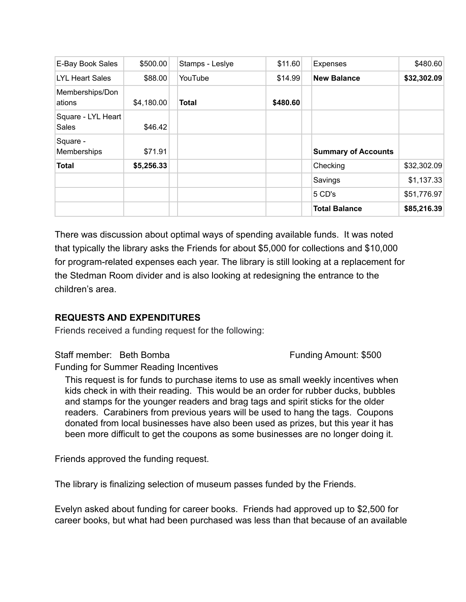| E-Bay Book Sales                   | \$500.00   | Stamps - Leslye | \$11.60  | <b>Expenses</b>            | \$480.60    |
|------------------------------------|------------|-----------------|----------|----------------------------|-------------|
| <b>LYL Heart Sales</b>             | \$88.00    | YouTube         | \$14.99  | <b>New Balance</b>         | \$32,302.09 |
| Memberships/Don<br>ations          | \$4,180.00 | <b>Total</b>    | \$480.60 |                            |             |
| Square - LYL Heart<br><b>Sales</b> | \$46.42    |                 |          |                            |             |
| Square -<br>Memberships            | \$71.91    |                 |          | <b>Summary of Accounts</b> |             |
| <b>Total</b>                       | \$5,256.33 |                 |          | Checking                   | \$32,302.09 |
|                                    |            |                 |          | Savings                    | \$1,137.33  |
|                                    |            |                 |          | 5 CD's                     | \$51,776.97 |
|                                    |            |                 |          | <b>Total Balance</b>       | \$85,216.39 |

There was discussion about optimal ways of spending available funds. It was noted that typically the library asks the Friends for about \$5,000 for collections and \$10,000 for program-related expenses each year. The library is still looking at a replacement for the Stedman Room divider and is also looking at redesigning the entrance to the children's area.

## **REQUESTS AND EXPENDITURES**

Friends received a funding request for the following:

Staff member: Beth Bomba Funding Amount: \$500

Funding for Summer Reading Incentives

This request is for funds to purchase items to use as small weekly incentives when kids check in with their reading. This would be an order for rubber ducks, bubbles and stamps for the younger readers and brag tags and spirit sticks for the older readers. Carabiners from previous years will be used to hang the tags. Coupons donated from local businesses have also been used as prizes, but this year it has been more difficult to get the coupons as some businesses are no longer doing it.

Friends approved the funding request.

The library is finalizing selection of museum passes funded by the Friends.

Evelyn asked about funding for career books. Friends had approved up to \$2,500 for career books, but what had been purchased was less than that because of an available